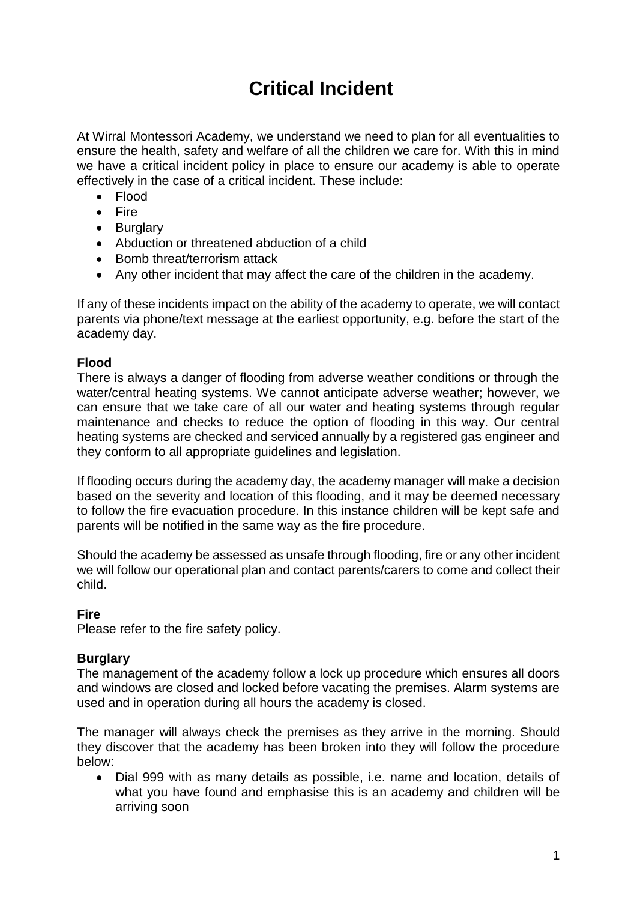# **Critical Incident**

At Wirral Montessori Academy, we understand we need to plan for all eventualities to ensure the health, safety and welfare of all the children we care for. With this in mind we have a critical incident policy in place to ensure our academy is able to operate effectively in the case of a critical incident. These include:

- Flood
- Fire
- Burglary
- Abduction or threatened abduction of a child
- Bomb threat/terrorism attack
- Any other incident that may affect the care of the children in the academy.

If any of these incidents impact on the ability of the academy to operate, we will contact parents via phone/text message at the earliest opportunity, e.g. before the start of the academy day.

### **Flood**

There is always a danger of flooding from adverse weather conditions or through the water/central heating systems. We cannot anticipate adverse weather; however, we can ensure that we take care of all our water and heating systems through regular maintenance and checks to reduce the option of flooding in this way. Our central heating systems are checked and serviced annually by a registered gas engineer and they conform to all appropriate guidelines and legislation.

If flooding occurs during the academy day, the academy manager will make a decision based on the severity and location of this flooding, and it may be deemed necessary to follow the fire evacuation procedure. In this instance children will be kept safe and parents will be notified in the same way as the fire procedure.

Should the academy be assessed as unsafe through flooding, fire or any other incident we will follow our operational plan and contact parents/carers to come and collect their child.

### **Fire**

Please refer to the fire safety policy.

### **Burglary**

The management of the academy follow a lock up procedure which ensures all doors and windows are closed and locked before vacating the premises. Alarm systems are used and in operation during all hours the academy is closed.

The manager will always check the premises as they arrive in the morning. Should they discover that the academy has been broken into they will follow the procedure below:

• Dial 999 with as many details as possible, i.e. name and location, details of what you have found and emphasise this is an academy and children will be arriving soon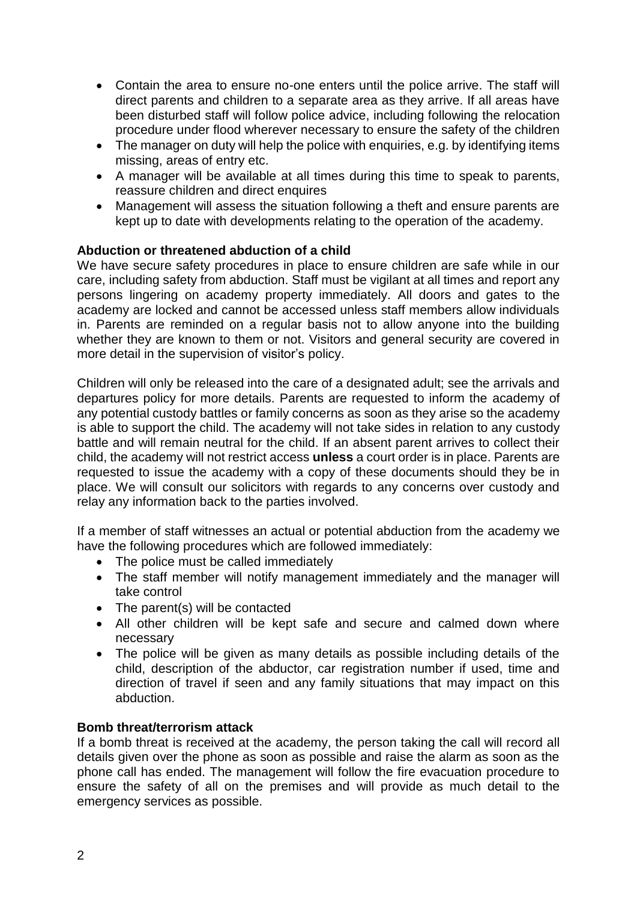- Contain the area to ensure no-one enters until the police arrive. The staff will direct parents and children to a separate area as they arrive. If all areas have been disturbed staff will follow police advice, including following the relocation procedure under flood wherever necessary to ensure the safety of the children
- The manager on duty will help the police with enquiries, e.g. by identifying items missing, areas of entry etc.
- A manager will be available at all times during this time to speak to parents, reassure children and direct enquires
- Management will assess the situation following a theft and ensure parents are kept up to date with developments relating to the operation of the academy.

### **Abduction or threatened abduction of a child**

We have secure safety procedures in place to ensure children are safe while in our care, including safety from abduction. Staff must be vigilant at all times and report any persons lingering on academy property immediately. All doors and gates to the academy are locked and cannot be accessed unless staff members allow individuals in. Parents are reminded on a regular basis not to allow anyone into the building whether they are known to them or not. Visitors and general security are covered in more detail in the supervision of visitor's policy.

Children will only be released into the care of a designated adult; see the arrivals and departures policy for more details. Parents are requested to inform the academy of any potential custody battles or family concerns as soon as they arise so the academy is able to support the child. The academy will not take sides in relation to any custody battle and will remain neutral for the child. If an absent parent arrives to collect their child, the academy will not restrict access **unless** a court order is in place. Parents are requested to issue the academy with a copy of these documents should they be in place. We will consult our solicitors with regards to any concerns over custody and relay any information back to the parties involved.

If a member of staff witnesses an actual or potential abduction from the academy we have the following procedures which are followed immediately:

- The police must be called immediately
- The staff member will notify management immediately and the manager will take control
- The parent(s) will be contacted
- All other children will be kept safe and secure and calmed down where necessary
- The police will be given as many details as possible including details of the child, description of the abductor, car registration number if used, time and direction of travel if seen and any family situations that may impact on this abduction.

### **Bomb threat/terrorism attack**

If a bomb threat is received at the academy, the person taking the call will record all details given over the phone as soon as possible and raise the alarm as soon as the phone call has ended. The management will follow the fire evacuation procedure to ensure the safety of all on the premises and will provide as much detail to the emergency services as possible.